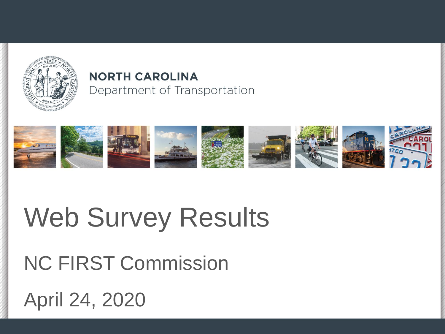

#### **NORTH CAROLINA** Department of Transportation



# Web Survey Results

NC FIRST Commission

April 24, 2020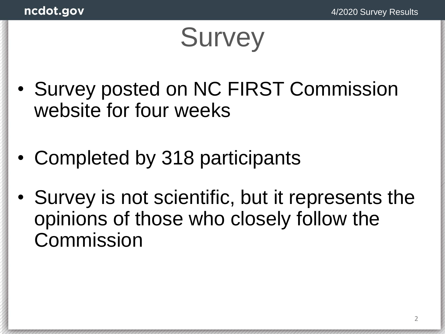# **Survey**

- Survey posted on NC FIRST Commission website for four weeks
- Completed by 318 participants
- Survey is not scientific, but it represents the opinions of those who closely follow the Commission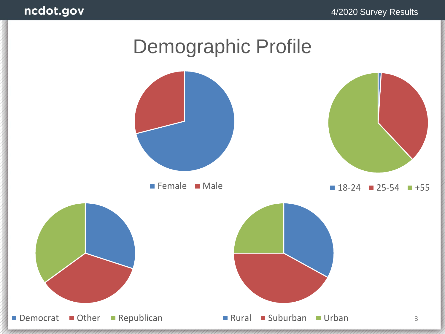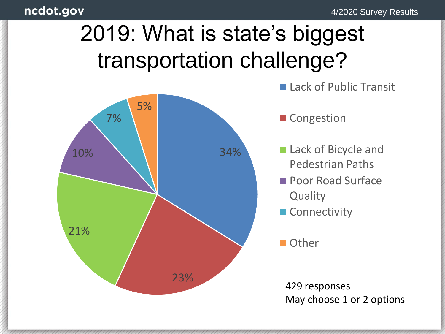## 2019: What is state's biggest transportation challenge?

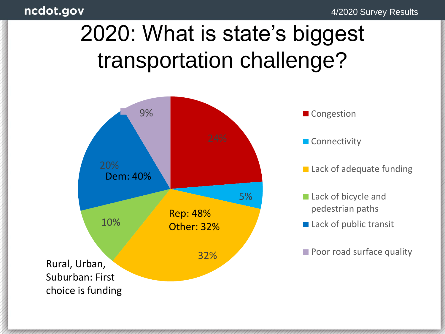4/2020 Survey Results

## 2020: What is state's biggest transportation challenge?

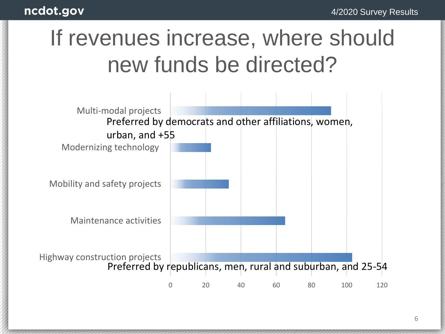## If revenues increase, where should new funds be directed?

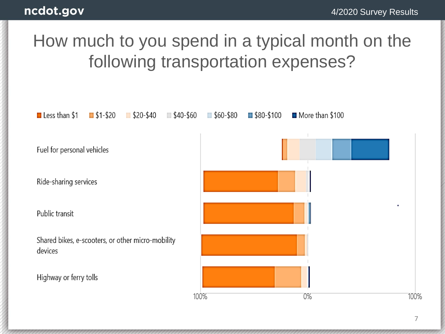### How much to you spend in a typical month on the following transportation expenses?

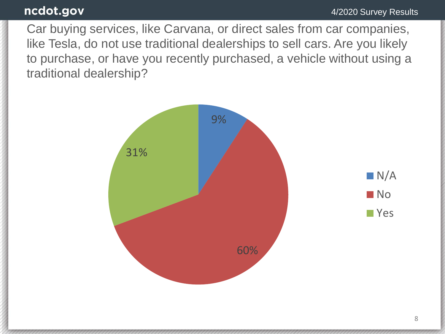Car buying services, like Carvana, or direct sales from car companies, like Tesla, do not use traditional dealerships to sell cars. Are you likely to purchase, or have you recently purchased, a vehicle without using a traditional dealership?

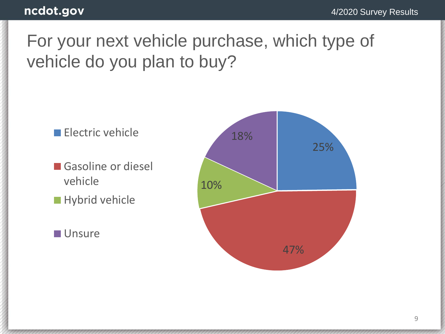### For your next vehicle purchase, which type of vehicle do you plan to buy?

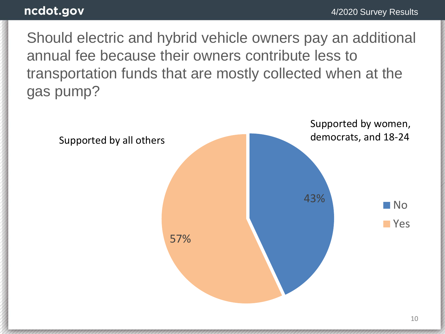Should electric and hybrid vehicle owners pay an additional annual fee because their owners contribute less to transportation funds that are mostly collected when at the gas pump?

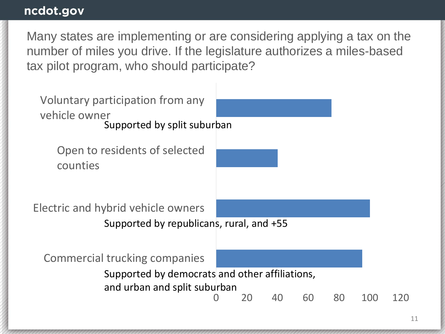Many states are implementing or are considering applying a tax on the number of miles you drive. If the legislature authorizes a miles-based tax pilot program, who should participate?

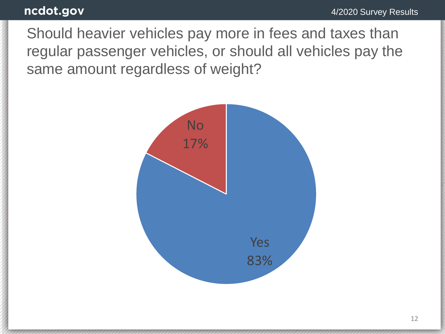Should heavier vehicles pay more in fees and taxes than regular passenger vehicles, or should all vehicles pay the same amount regardless of weight?

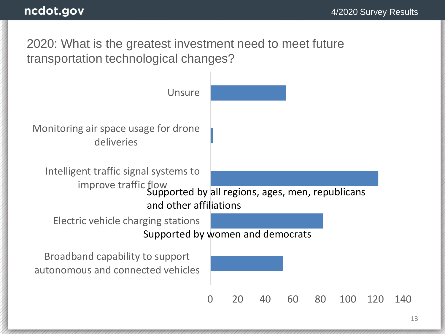2020: What is the greatest investment need to meet future transportation technological changes?

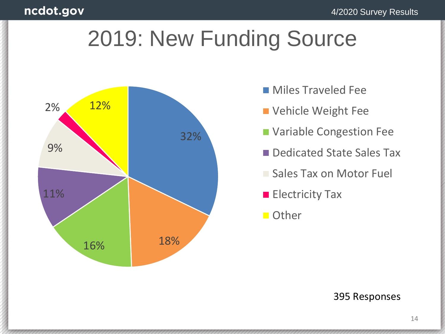### 2019: New Funding Source



- **Miles Traveled Fee**
- Vehicle Weight Fee
- **~85%** Variable Congestion Fee
	- **Dedicated State Sales Tax**
	- **Sales Tax on Motor Fuel**
	- **100%** Electricity Tax
	- **Other**

#### 395 Responses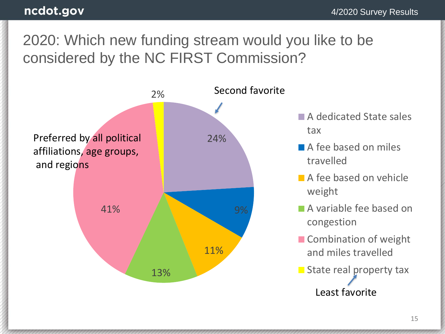### 2020: Which new funding stream would you like to be considered by the NC FIRST Commission?



- **A dedicated State sales** tax
- A fee based on miles travelled
- A fee based on vehicle weight
- A variable fee based on congestion
- Combination of weight and miles travelled
- $\blacksquare$  State real property tax Least favorite